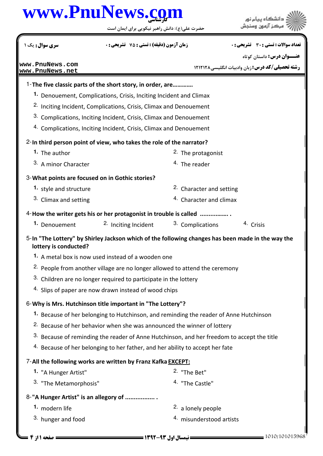## كارشناسي **[www.PnuNews.com](http://www.PnuNews.com)**

حضرت علي(ع): دانش راهبر نيكويي براي ايمان است



| سری سوال: یک ۱                                                                                                             |                                                                                        | <b>زمان آزمون (دقیقه) : تستی : 75 ٪ تشریحی : 0</b> |                               |                                      | تعداد سوالات : تستى : 30 ٪ تشريحي : 0            |  |
|----------------------------------------------------------------------------------------------------------------------------|----------------------------------------------------------------------------------------|----------------------------------------------------|-------------------------------|--------------------------------------|--------------------------------------------------|--|
|                                                                                                                            |                                                                                        |                                                    |                               |                                      | <b>عنـــوان درس:</b> داستان کوتاه                |  |
| www.PnuNews.com<br>www.PnuNews.net                                                                                         |                                                                                        |                                                    |                               |                                      | رشته تحصیلی/کد درس: زبان وادبیات انگلیسی ۱۲۱۲۱۲۸ |  |
| 1-The five classic parts of the short story, in order, are                                                                 |                                                                                        |                                                    |                               |                                      |                                                  |  |
|                                                                                                                            | 1. Denouement, Complications, Crisis, Inciting Incident and Climax                     |                                                    |                               |                                      |                                                  |  |
| <sup>2.</sup> Inciting Incident, Complications, Crisis, Climax and Denouement                                              |                                                                                        |                                                    |                               |                                      |                                                  |  |
| 3. Complications, Inciting Incident, Crisis, Climax and Denouement                                                         |                                                                                        |                                                    |                               |                                      |                                                  |  |
| 4. Complications, Inciting Incident, Crisis, Climax and Denouement                                                         |                                                                                        |                                                    |                               |                                      |                                                  |  |
| 2-In third person point of view, who takes the role of the narrator?                                                       |                                                                                        |                                                    |                               |                                      |                                                  |  |
| 1. The author                                                                                                              |                                                                                        |                                                    | <sup>2.</sup> The protagonist |                                      |                                                  |  |
| 3. A minor Character                                                                                                       |                                                                                        |                                                    | <sup>4.</sup> The reader      |                                      |                                                  |  |
| 3-What points are focused on in Gothic stories?                                                                            |                                                                                        |                                                    |                               |                                      |                                                  |  |
| 1. style and structure                                                                                                     |                                                                                        |                                                    |                               | <sup>2</sup> . Character and setting |                                                  |  |
| 3. Climax and setting                                                                                                      |                                                                                        |                                                    |                               | <sup>4.</sup> Character and climax   |                                                  |  |
|                                                                                                                            | 4-How the writer gets his or her protagonist in trouble is called                      |                                                    |                               |                                      |                                                  |  |
| 1. Denouement                                                                                                              |                                                                                        | 2. Inciting Incident                               | 3. Complications              |                                      | 4 Crisis                                         |  |
| 5-In "The Lottery" by Shirley Jackson which of the following changes has been made in the way the<br>lottery is conducted? |                                                                                        |                                                    |                               |                                      |                                                  |  |
| 1. A metal box is now used instead of a wooden one                                                                         |                                                                                        |                                                    |                               |                                      |                                                  |  |
|                                                                                                                            | <sup>2.</sup> People from another village are no longer allowed to attend the ceremony |                                                    |                               |                                      |                                                  |  |
| 3. Children are no longer required to participate in the lottery                                                           |                                                                                        |                                                    |                               |                                      |                                                  |  |
| 4. Slips of paper are now drawn instead of wood chips                                                                      |                                                                                        |                                                    |                               |                                      |                                                  |  |
| 6-Why is Mrs. Hutchinson title important in "The Lottery"?                                                                 |                                                                                        |                                                    |                               |                                      |                                                  |  |
| 1. Because of her belonging to Hutchinson, and reminding the reader of Anne Hutchinson                                     |                                                                                        |                                                    |                               |                                      |                                                  |  |
| <sup>2.</sup> Because of her behavior when she was announced the winner of lottery                                         |                                                                                        |                                                    |                               |                                      |                                                  |  |
| 3. Because of reminding the reader of Anne Hutchinson, and her freedom to accept the title                                 |                                                                                        |                                                    |                               |                                      |                                                  |  |
| 4. Because of her belonging to her father, and her ability to accept her fate                                              |                                                                                        |                                                    |                               |                                      |                                                  |  |
| 7-All the following works are written by Franz Kafka EXCEPT:                                                               |                                                                                        |                                                    |                               |                                      |                                                  |  |
| 1. "A Hunger Artist"                                                                                                       |                                                                                        |                                                    | <sup>2.</sup> "The Bet"       |                                      |                                                  |  |
| 3. "The Metamorphosis"                                                                                                     |                                                                                        |                                                    | 4. "The Castle"               |                                      |                                                  |  |
| 8-"A Hunger Artist" is an allegory of                                                                                      |                                                                                        |                                                    |                               |                                      |                                                  |  |
| 1. modern life                                                                                                             |                                                                                        |                                                    | <sup>2.</sup> a lonely people |                                      |                                                  |  |
| 3. hunger and food                                                                                                         |                                                                                        |                                                    |                               | 4. misunderstood artists             |                                                  |  |
| صفحه ۱ از ۴ =                                                                                                              |                                                                                        |                                                    |                               |                                      | 1010/101015968                                   |  |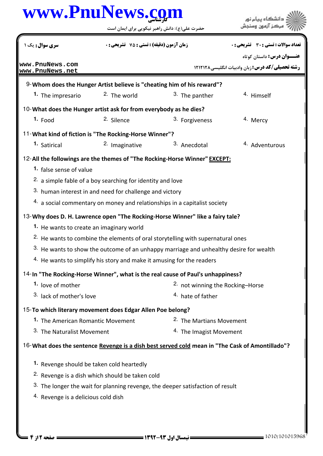| www.PnuNews.com                                                   |                                                                       |                                                                                                   | دانشگاه بیام نور                                        |
|-------------------------------------------------------------------|-----------------------------------------------------------------------|---------------------------------------------------------------------------------------------------|---------------------------------------------------------|
|                                                                   |                                                                       | حضرت علی(ع): دانش راهبر نیکویی برای ایمان است                                                     |                                                         |
| <b>سری سوال :</b> یک ۱                                            |                                                                       | <b>زمان آزمون (دقیقه) : تستی : 75 ٪ تشریحی : 0</b>                                                |                                                         |
| www.PnuNews.com                                                   |                                                                       |                                                                                                   | <b>عنـــوان درس:</b> داستان کوتاه                       |
| www.PnuNews.net                                                   |                                                                       |                                                                                                   | <b>رشته تحصیلی/کد درس: زبان وادبیات انگلیسی ۱۲۱۲۱۲۸</b> |
|                                                                   |                                                                       | 9-Whom does the Hunger Artist believe is "cheating him of his reward"?                            |                                                         |
| 1. The impresario                                                 | <sup>2</sup> . The world                                              | 3. The panther                                                                                    | <sup>4.</sup> Himself                                   |
| 10-What does the Hunger artist ask for from everybody as he dies? |                                                                       |                                                                                                   |                                                         |
| $1.$ Food                                                         | 2. Silence                                                            | 3. Forgiveness                                                                                    | 4. Mercy                                                |
| 11-What kind of fiction is "The Rocking-Horse Winner"?            |                                                                       |                                                                                                   |                                                         |
| 1. Satirical                                                      | 2. Imaginative                                                        | 3. Anecdotal                                                                                      | 4. Adventurous                                          |
|                                                                   |                                                                       | 12-All the followings are the themes of "The Rocking-Horse Winner" EXCEPT:                        |                                                         |
| 1. false sense of value                                           |                                                                       |                                                                                                   |                                                         |
|                                                                   | <sup>2.</sup> a simple fable of a boy searching for identity and love |                                                                                                   |                                                         |
|                                                                   | 3. human interest in and need for challenge and victory               |                                                                                                   |                                                         |
|                                                                   |                                                                       | $4.$ a social commentary on money and relationships in a capitalist society                       |                                                         |
|                                                                   |                                                                       | 13-Why does D. H. Lawrence open "The Rocking-Horse Winner" like a fairy tale?                     |                                                         |
| 1. He wants to create an imaginary world                          |                                                                       |                                                                                                   |                                                         |
|                                                                   |                                                                       | <sup>2.</sup> He wants to combine the elements of oral storytelling with supernatural ones        |                                                         |
|                                                                   |                                                                       | <sup>3.</sup> He wants to show the outcome of an unhappy marriage and unhealthy desire for wealth |                                                         |
|                                                                   |                                                                       | 4. He wants to simplify his story and make it amusing for the readers                             |                                                         |
|                                                                   |                                                                       | 14-In "The Rocking-Horse Winner", what is the real cause of Paul's unhappiness?                   |                                                         |
| 1. love of mother                                                 |                                                                       | <sup>2.</sup> not winning the Rocking-Horse                                                       |                                                         |
| 3. lack of mother's love                                          |                                                                       | 4. hate of father                                                                                 |                                                         |
| 15-To which literary movement does Edgar Allen Poe belong?        |                                                                       |                                                                                                   |                                                         |
| 1. The American Romantic Movement                                 |                                                                       | <sup>2.</sup> The Martians Movement                                                               |                                                         |
| <sup>3.</sup> The Naturalist Movement                             |                                                                       | <sup>4.</sup> The Imagist Movement                                                                |                                                         |
|                                                                   |                                                                       | 16-What does the sentence Revenge is a dish best served cold mean in "The Cask of Amontillado"?   |                                                         |
| 1. Revenge should be taken cold heartedly                         |                                                                       |                                                                                                   |                                                         |
|                                                                   | <sup>2.</sup> Revenge is a dish which should be taken cold            |                                                                                                   |                                                         |
|                                                                   |                                                                       | 3. The longer the wait for planning revenge, the deeper satisfaction of result                    |                                                         |
| <sup>4.</sup> Revenge is a delicious cold dish                    |                                                                       |                                                                                                   |                                                         |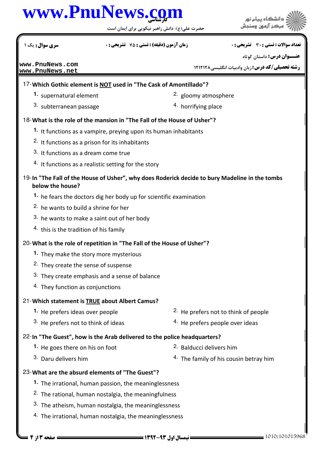## كارشناسي **[www.PnuNews.com](http://www.PnuNews.com)**

| www.PnuNews.com                                                          |                                                                    | حضرت علی(ع): دانش راهبر نیکویی برای ایمان است |                                                                                                |
|--------------------------------------------------------------------------|--------------------------------------------------------------------|-----------------------------------------------|------------------------------------------------------------------------------------------------|
| <b>سری سوال :</b> یک ۱                                                   | <b>زمان آزمون (دقیقه) : تستی : 75 تشریحی : 0</b>                   |                                               | تعداد سوالات : تستي : 30 ٪ تشريحي : 0                                                          |
| www.PnuNews.com<br>www.PnuNews.net                                       |                                                                    |                                               | <b>عنـــوان درس:</b> داستان کوتاه<br><b>رشته تحصیلی/کد درس:</b> زبان وادبیات انگلیسی۸۲۱۲۱۲۸    |
| 17-Which Gothic element is NOT used in "The Cask of Amontillado"?        |                                                                    |                                               |                                                                                                |
| 1. supernatural element                                                  |                                                                    | <sup>2.</sup> gloomy atmosphere               |                                                                                                |
| 3. subterranean passage                                                  |                                                                    | <sup>4.</sup> horrifying place                |                                                                                                |
| 18-What is the role of the mansion in "The Fall of the House of Usher"?  |                                                                    |                                               |                                                                                                |
|                                                                          | 1. It functions as a vampire, preying upon its human inhabitants   |                                               |                                                                                                |
|                                                                          | <sup>2.</sup> It functions as a prison for its inhabitants         |                                               |                                                                                                |
| 3. It functions as a dream come true                                     |                                                                    |                                               |                                                                                                |
|                                                                          | <sup>4.</sup> It functions as a realistic setting for the story    |                                               |                                                                                                |
| below the house?                                                         |                                                                    |                                               | 19-In "The Fall of the House of Usher", why does Roderick decide to bury Madeline in the tombs |
|                                                                          | 1. he fears the doctors dig her body up for scientific examination |                                               |                                                                                                |
| 2. he wants to build a shrine for her                                    |                                                                    |                                               |                                                                                                |
|                                                                          | 3. he wants to make a saint out of her body                        |                                               |                                                                                                |
| <sup>4.</sup> this is the tradition of his family                        |                                                                    |                                               |                                                                                                |
| 20- What is the role of repetition in "The Fall of the House of Usher"?  |                                                                    |                                               |                                                                                                |
| 1. They make the story more mysterious                                   |                                                                    |                                               |                                                                                                |
| <sup>2.</sup> They create the sense of suspense                          |                                                                    |                                               |                                                                                                |
|                                                                          | 3. They create emphasis and a sense of balance                     |                                               |                                                                                                |
| 4. They function as conjunctions                                         |                                                                    |                                               |                                                                                                |
| 21-Which statement is <b>TRUE</b> about Albert Camus?                    |                                                                    |                                               |                                                                                                |
| 1. He prefers ideas over people                                          |                                                                    |                                               | <sup>2.</sup> He prefers not to think of people                                                |
| 3. He prefers not to think of ideas                                      |                                                                    |                                               | <sup>4.</sup> He prefers people over ideas                                                     |
| 22-In "The Guest", how is the Arab delivered to the police headquarters? |                                                                    |                                               |                                                                                                |
| 1. He goes there on his on foot                                          |                                                                    | 2. Balducci delivers him                      |                                                                                                |
| 3. Daru delivers him                                                     |                                                                    |                                               | <sup>4.</sup> The family of his cousin betray him                                              |
| 23- What are the absurd elements of "The Guest"?                         |                                                                    |                                               |                                                                                                |
|                                                                          | 1. The irrational, human passion, the meaninglessness              |                                               |                                                                                                |
|                                                                          | <sup>2.</sup> The rational, human nostalgia, the meaningfulness    |                                               |                                                                                                |
|                                                                          | 3. The atheism, human nostalgia, the meaninglessness               |                                               |                                                                                                |
|                                                                          | 4. The irrational, human nostalgia, the meaninglessness            |                                               |                                                                                                |